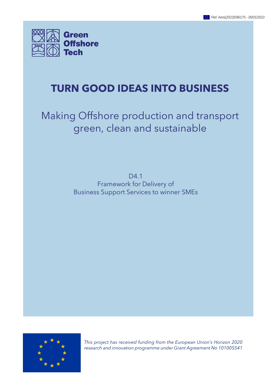

## **TURN GOOD IDEAS INTO BUSINESS**

## Making Offshore production and transport green, clean and sustainable

D<sub>4.1</sub> Framework for Delivery of Business Support Services to winner SMEs



*This project has received funding from the European Union's Horizon 2020 research and innovation programme under Grant Agreement No 101005541*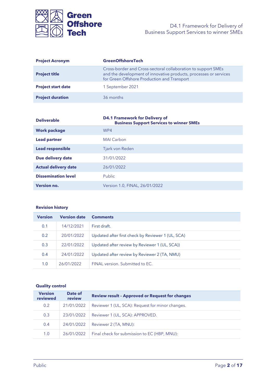

| <b>Project Acronym</b>    | <b>GreenOffshoreTech</b>                                                                                                                                                          |
|---------------------------|-----------------------------------------------------------------------------------------------------------------------------------------------------------------------------------|
| <b>Project title</b>      | Cross-border and Cross-sectoral collaboration to support SMEs<br>and the development of innovative products, processes or services<br>for Green Offshore Production and Transport |
| <b>Project start date</b> | 1 September 2021                                                                                                                                                                  |
| <b>Project duration</b>   | 36 months                                                                                                                                                                         |

| <b>Deliverable</b>          | <b>D4.1 Framework for Delivery of</b><br><b>Business Support Services to winner SMEs</b> |
|-----------------------------|------------------------------------------------------------------------------------------|
| <b>Work package</b>         | WP4                                                                                      |
| <b>Lead partner</b>         | <b>MAI Carbon</b>                                                                        |
| <b>Lead responsible</b>     | Tjark von Reden                                                                          |
| Due delivery date           | 31/01/2022                                                                               |
| <b>Actual delivery date</b> | 26/01/2022                                                                               |
| <b>Dissemination level</b>  | Public                                                                                   |
| <b>Version no.</b>          | Version 1.0, FINAL, 26/01/2022                                                           |

#### **Revision history**

| <b>Version</b> | <b>Version date</b> | <b>Comments</b>                                   |
|----------------|---------------------|---------------------------------------------------|
| 0.1            | 14/12/2021          | First draft.                                      |
| 0.2            | 20/01/2022          | Updated after first check by Reviewer 1 (UL, SCA) |
| 0.3            | 22/01/2022          | Updated after review by Reviewer 1 (UL, SCA))     |
| 0.4            | 24/01/2022          | Updated after review by Reviewer 2 (TA, NMU)      |
| 1.0            | 26/01/2022          | FINAL version. Submitted to FC.                   |

#### **Quality control**

| <b>Version</b><br>reviewed | Date of<br>review | <b>Review result - Approved or Request for changes</b> |
|----------------------------|-------------------|--------------------------------------------------------|
| 0.2                        | 21/01/2022        | Reviewer 1 (UL, SCA): Request for minor changes.       |
| 0.3                        | 23/01/2022        | Reviewer 1 (UL, SCA): APPROVED.                        |
| 0.4                        | 24/01/2022        | Reviewer 2 (TA, MNU):                                  |
| 1.0                        | 26/01/2022        | Final check for submission to EC (HBP, MNU):           |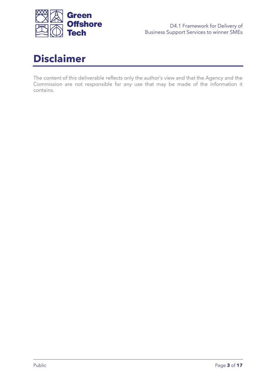

<span id="page-2-0"></span>

The content of this deliverable reflects only the author's view and that the Agency and the Commission are not responsible for any use that may be made of the information it contains.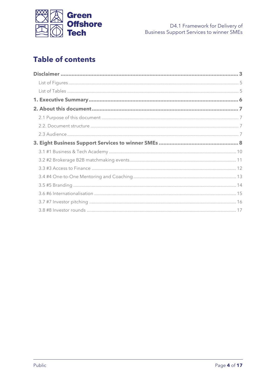

## **Table of contents**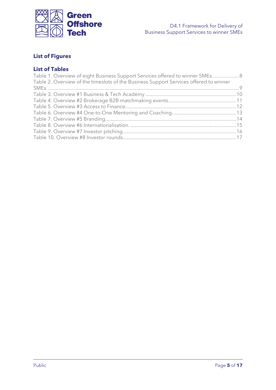

## <span id="page-4-0"></span>**List of Figures**

## <span id="page-4-1"></span>**List of Tables**

| Table 1. Overview of eight Business Support Services offered to winner SMEs 8         |  |
|---------------------------------------------------------------------------------------|--|
| Table 2. Overview of the timeslots of the Business Support Services offered to winner |  |
|                                                                                       |  |
|                                                                                       |  |
|                                                                                       |  |
|                                                                                       |  |
|                                                                                       |  |
|                                                                                       |  |
|                                                                                       |  |
|                                                                                       |  |
|                                                                                       |  |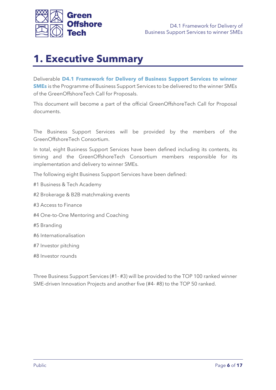

## <span id="page-5-0"></span>**1. Executive Summary**

Deliverable **D4.1 Framework for Delivery of Business Support Services to winner SMEs** is the Programme of Business Support Services to be delivered to the winner SMEs of the GreenOffshoreTech Call for Proposals.

This document will become a part of the official GreenOffshoreTech Call for Proposal documents.

The Business Support Services will be provided by the members of the GreenOffshoreTech Consortium.

In total, eight Business Support Services have been defined including its contents, its timing and the GreenOffshoreTech Consortium members responsible for its implementation and delivery to winner SMEs.

The following eight Business Support Services have been defined:

- #1 Business & Tech Academy
- #2 Brokerage & B2B matchmaking events
- #3 Access to Finance
- #4 One-to-One Mentoring and Coaching
- #5 Branding
- #6 Internationalisation
- #7 Investor pitching
- #8 Investor rounds

Three Business Support Services (#1- #3) will be provided to the TOP 100 ranked winner SME-driven Innovation Projects and another five (#4- #8) to the TOP 50 ranked.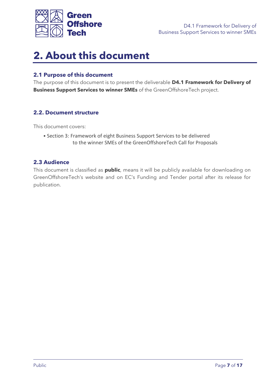

## <span id="page-6-0"></span>**2. About this document**

### <span id="page-6-1"></span>**2.1 Purpose of this document**

The purpose of this document is to present the deliverable **D4.1 Framework for Delivery of Business Support Services to winner SMEs** of the GreenOffshoreTech project.

### <span id="page-6-2"></span>**2.2. Document structure**

This document covers:

• Section 3: Framework of eight Business Support Services to be delivered to the winner SMEs of the GreenOffshoreTech Call for Proposals

#### <span id="page-6-3"></span>**2.3 Audience**

This document is classified as **public**, means it will be publicly available for downloading on GreenOffshoreTech's website and on EC's Funding and Tender portal after its release for publication.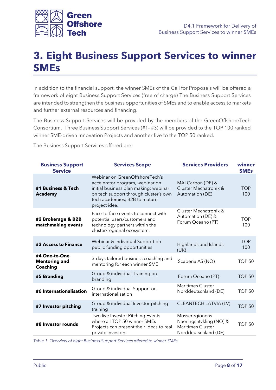

# <span id="page-7-0"></span>**3. Eight Business Support Services to winner SMEs**

In addition to the financial support, the winner SMEs of the Call for Proposals will be offered a framework of eight Business Support Services (free of charge) The Business Support Services are intended to strengthen the business opportunities of SMEs and to enable access to markets and further external resources and financing.

The Business Support Services will be provided by the members of the GreenOffshoreTech Consortium. Three Business Support Services (#1- #3) will be provided to the TOP 100 ranked winner SME-driven Innovation Projects and another five to the TOP 50 ranked.

The Business Support Services offered are:

| <b>Business Support</b><br><b>Service</b>                | <b>Services Scope</b>                                                                                                                                                                                 | <b>Services Providers</b>                                                              | winner<br><b>SMEs</b> |
|----------------------------------------------------------|-------------------------------------------------------------------------------------------------------------------------------------------------------------------------------------------------------|----------------------------------------------------------------------------------------|-----------------------|
| #1 Business & Tech<br><b>Academy</b>                     | Webinar on GreenOffshoreTech's<br>accelerator program, webinar on<br>initial business plan making; webinar<br>on tech support through cluster's own<br>tech academies; B2B to mature<br>project idea. | MAI Carbon (DE) &<br>Cluster Mechatronik &<br>Automation (DE)                          | <b>TOP</b><br>100     |
| #2 Brokerage & B2B<br>matchmaking events                 | Face-to-face events to connect with<br>potential users/customers and<br>technology partners within the<br>cluster/regional ecosystem.                                                                 | Cluster Mechatronik &<br>Automation (DE) &<br>Forum Oceano (PT)                        | TOP<br>100            |
| #3 Access to Finance                                     | Webinar & individual Support on<br>public funding opportunities                                                                                                                                       | Highlands and Islands<br>(UK)                                                          | <b>TOP</b><br>100     |
| #4 One-to-One<br><b>Mentoring and</b><br><b>Coaching</b> | 3-days tailored business coaching and<br>mentoring for each winner SME                                                                                                                                | Scaberia AS (NO)                                                                       | <b>TOP 50</b>         |
| #5 Branding                                              | Group & individual Training on<br>branding                                                                                                                                                            | Forum Oceano (PT)                                                                      | <b>TOP 50</b>         |
| #6 Internationalisation                                  | Group & individual Support on<br>internationalisation                                                                                                                                                 | <b>Maritimes Cluster</b><br>Norddeutschland (DE)                                       | <b>TOP 50</b>         |
| #7 Investor pitching                                     | Group & individual Investor pitching<br>training                                                                                                                                                      | CLEANTECH LATVIA (LV)                                                                  | <b>TOP 50</b>         |
| #8 Investor rounds                                       | Two live Investor Pitching Events<br>where all TOP 50 winner SMEs<br>Projects can present their ideas to real<br>private investors                                                                    | Mosseregionens<br>Naeringsutvkling (NO) &<br>Maritimes Cluster<br>Norddeutschland (DE) | <b>TOP 50</b>         |

<span id="page-7-1"></span>*Table 1. Overview of eight Business Support Services offered to winner SMEs.*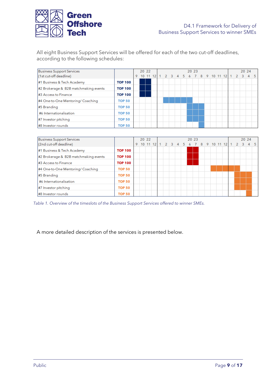

All eight Business Support Services will be offered for each of the two cut-off deadlines, according to the following schedules:

| <b>Business Support Services</b>      |                |     | 20 22 |  |      |  | 20 23 |                  |  |  |                | 20 24 |   |     |
|---------------------------------------|----------------|-----|-------|--|------|--|-------|------------------|--|--|----------------|-------|---|-----|
| (1st cut-off deadline)                |                | 10. |       |  | $-3$ |  |       | 7 8 9 10 11 12 1 |  |  | $\overline{2}$ | -3    | 4 | - 5 |
| #1 Business & Tech Academy            | <b>TOP 100</b> |     |       |  |      |  |       |                  |  |  |                |       |   |     |
| #2 Brokerage & B2B matchmaking events | <b>TOP 100</b> |     |       |  |      |  |       |                  |  |  |                |       |   |     |
| #3 Access to Finance                  | <b>TOP 100</b> |     |       |  |      |  |       |                  |  |  |                |       |   |     |
| #4 One-to-One Mentoring/ Coaching     | <b>TOP 50</b>  |     |       |  |      |  |       |                  |  |  |                |       |   |     |
| #5 Branding                           | <b>TOP 50</b>  |     |       |  |      |  |       |                  |  |  |                |       |   |     |
| #6 Internationalisation               | <b>TOP 50</b>  |     |       |  |      |  |       |                  |  |  |                |       |   |     |
| #7 Investor pitching                  | <b>TOP 50</b>  |     |       |  |      |  |       |                  |  |  |                |       |   |     |
| #8 Investor rounds                    | <b>TOP 50</b>  |     |       |  |      |  |       |                  |  |  |                |       |   |     |

| Business Support Services             |                | 20 22 |  |  |    |  | 20 23 |  |  |                    |  | 20 24 |   |     |
|---------------------------------------|----------------|-------|--|--|----|--|-------|--|--|--------------------|--|-------|---|-----|
| (2nd cut-off deadline)                |                |       |  |  | 3. |  |       |  |  | 5 6 7 8 9 10 11 12 |  | 3     | 4 | -5. |
| #1 Business & Tech Academy            | <b>TOP 100</b> |       |  |  |    |  |       |  |  |                    |  |       |   |     |
| #2 Brokerage & B2B matchmaking events | <b>TOP 100</b> |       |  |  |    |  |       |  |  |                    |  |       |   |     |
| #3 Access to Finance                  | <b>TOP 100</b> |       |  |  |    |  |       |  |  |                    |  |       |   |     |
| #4 One-to-One Mentoring/ Coaching     | <b>TOP 50</b>  |       |  |  |    |  |       |  |  |                    |  |       |   |     |
| #5 Branding                           | <b>TOP 50</b>  |       |  |  |    |  |       |  |  |                    |  |       |   |     |
| #6 Internationalisation               | <b>TOP 50</b>  |       |  |  |    |  |       |  |  |                    |  |       |   |     |
| #7 Investor pitching                  | <b>TOP 50</b>  |       |  |  |    |  |       |  |  |                    |  |       |   |     |
| #8 Investor rounds                    | <b>TOP 50</b>  |       |  |  |    |  |       |  |  |                    |  |       |   |     |

<span id="page-8-0"></span>*Table 1. Overview of the timeslots of the Business Support Services offered to winner SMEs.*

A more detailed description of the services is presented below.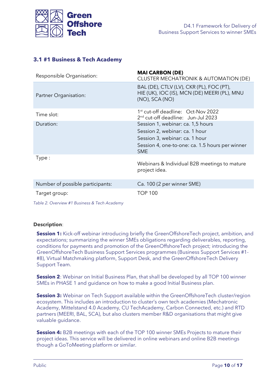

## <span id="page-9-0"></span>**3.1 #1 Business & Tech Academy**

| Responsible Organisation:        | <b>MAI CARBON (DE)</b><br>CLUSTER MECHATRONIK & AUTOMATION (DE)                                                                                                        |
|----------------------------------|------------------------------------------------------------------------------------------------------------------------------------------------------------------------|
| Partner Organisation:            | BAL (DE), CTLV (LV), CKR (PL), FOC (PT),<br>HIE (UK), IOC (IS), MCN (DE) MEERI (PL), MNU<br>$(NO)$ , SCA $(NO)$                                                        |
| Time slot:                       | 1 <sup>st</sup> cut-off deadline: Oct-Nov 2022<br>2 <sup>nd</sup> cut-off deadline: Jun-Jul 2023                                                                       |
| Duration:                        | Session 1, webinar: ca. 1,5 hours<br>Session 2, webinar: ca. 1 hour<br>Session 3, webinar: ca. 1 hour<br>Session 4, one-to-one: ca. 1.5 hours per winner<br><b>SME</b> |
| Type:                            | Webinars & Individual B2B meetings to mature<br>project idea.                                                                                                          |
| Number of possible participants: | Ca. 100 (2 per winner SME)                                                                                                                                             |
| Target group:                    | <b>TOP 100</b>                                                                                                                                                         |

<span id="page-9-1"></span>*Table 2. Overview #1 Business & Tech Academy*

#### **Description**:

**Session 1:** Kick-off webinar introducing briefly the GreenOffshoreTech project, ambition, and expectations; summarizing the winner SMEs obligations regarding deliverables, reporting, conditions for payments and promotion of the GreenOffshoreTech project; introducing the GreenOffshoreTech Business Support Services programmes (Business Support Services #1- #8), Virtual Matchmaking platform, Support Desk, and the GreenOffshoreTech Delivery Support Team.

**Session 2**: Webinar on Initial Business Plan, that shall be developed by all TOP 100 winner SMEs in PHASE 1 and guidance on how to make a good Initial Business plan.

**Session 3:** Webinar on Tech Support available within the GreenOffshoreTech cluster/region ecosystem. This includes an introduction to cluster's own tech academies (Mechatronic Academy, Mittelstand 4.0 Academy, CU TechAcademy, Carbon Connected, etc.) and RTD partners (MEERI, BAL, SCA), but also clusters member R&D organisations that might give valuable guidance.

**Session 4:** B2B meetings with each of the TOP 100 winner SMEs Projects to mature their project ideas. This service will be delivered in online webinars and online B2B meetings though a GoToMeeting platform or similar.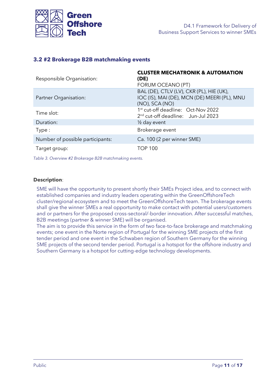

### <span id="page-10-0"></span>**3.2 #2 Brokerage B2B matchmaking events**

| Responsible Organisation:        | <b>CLUSTER MECHATRONIK &amp; AUTOMATION</b><br>(DE)<br>FORUM OCEANO (PT)                                        |
|----------------------------------|-----------------------------------------------------------------------------------------------------------------|
| Partner Organisation:            | BAL (DE), CTLV (LV), CKR (PL), HIE (UK),<br>IOC (IS), MAI (DE), MCN (DE) MEERI (PL), MNU<br>$(NO)$ , SCA $(NO)$ |
| Time slot:                       | 1st cut-off deadline: Oct-Nov 2022<br>2 <sup>nd</sup> cut-off deadline: Jun-Jul 2023                            |
| Duration:                        | 1/ <sub>2</sub> day event                                                                                       |
| Type:                            | Brokerage event                                                                                                 |
| Number of possible participants: | Ca. 100 (2 per winner SME)                                                                                      |
| Target group:                    | <b>TOP 100</b>                                                                                                  |

<span id="page-10-1"></span>*Table 3. Overview #2 Brokerage B2B matchmaking events.*

#### **Description**:

SME will have the opportunity to present shortly their SMEs Project idea, and to connect with established companies and industry leaders operating within the GreenOffshoreTech cluster/regional ecosystem and to meet the GreenOffshoreTech team. The brokerage events shall give the winner SMEs a real opportunity to make contact with potential users/customers and or partners for the proposed cross-sectoral/-border innovation. After successful matches, B2B meetings (partner & winner SME) will be organised.

The aim is to provide this service in the form of two face-to-face brokerage and matchmaking events; one event in the Norte region of Portugal for the winning SME projects of the first tender period and one event in the Schwaben region of Southern Germany for the winning SME projects of the second tender period. Portugal is a hotspot for the offshore industry and Southern Germany is a hotspot for cutting-edge technology developments.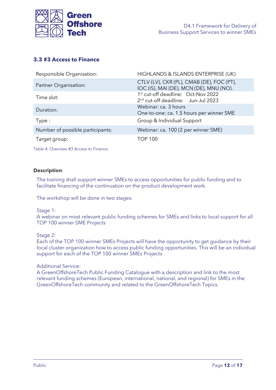

## <span id="page-11-0"></span>**3.3 #3 Access to Finance**

| Responsible Organisation:        | HIGHLANDS & ISLANDS ENTERPRISE (UK)                                                              |
|----------------------------------|--------------------------------------------------------------------------------------------------|
| Partner Organisation:            | CTLV (LV), CKR (PL), CMAB (DE), FOC (PT),<br>IOC (IS), MAI (DE), MCN (DE), MNU (NO).             |
| Time slot:                       | 1 <sup>st</sup> cut-off deadline: Oct-Nov 2022<br>2 <sup>nd</sup> cut-off deadline: Jun-Jul 2023 |
| Duration:                        | Webinar: ca. 3 hours<br>One-to-one: ca. 1.5 hours per winner SME                                 |
| Type:                            | Group & Individual Support                                                                       |
| Number of possible participants: | Webinar: ca. 100 (2 per winner SME)                                                              |
| Target group:                    | <b>TOP 100</b>                                                                                   |

<span id="page-11-1"></span>*Table 4. Overview #3 Access to Finance.*

#### **Description**:

The training shall support winner SMEs to access opportunities for public funding and to facilitate financing of the continuation on the product development work.

The workshop will be done in two stages:

Stage 1:

A webinar on most relevant public funding schemes for SMEs and links to local support for all TOP 100 winner SME Projects

Stage 2:

Each of the TOP 100 winner SMEs Projects will have the opportunity to get guidance by their local cluster organization how to access public funding opportunities. This will be an individual support for each of the TOP 100 winner SMEs Projects

Additional Service:

A GreenOffshoreTech Public Funding Catalogue with a description and link to the most relevant funding schemes (European, international, national, and regional) for SMEs in the GreenOffshoreTech community and related to the GreenOffshoreTech Topics.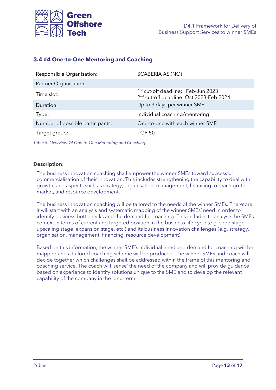

## <span id="page-12-0"></span>**3.4 #4 One-to-One Mentoring and Coaching**

| Responsible Organisation:        | SCABERIA AS (NO)                                                                                      |
|----------------------------------|-------------------------------------------------------------------------------------------------------|
| Partner Organisation:            | -                                                                                                     |
| Time slot:                       | 1 <sup>st</sup> cut-off deadline: Feb-Jun 2023<br>2 <sup>nd</sup> cut-off deadline: Oct 2023-Feb 2024 |
| Duration:                        | Up to 3 days per winner SME                                                                           |
| Type:                            | Individual coaching/mentoring                                                                         |
| Number of possible participants: | One-to-one with each winner SME                                                                       |
| Target group:                    | TOP 50                                                                                                |

<span id="page-12-1"></span>*Table 5. Overview #4 One-to-One Mentoring and Coaching.*

#### **Description**:

The business innovation coaching shall empower the winner SMEs toward successful commercialisation of their innovation. This includes strengthening the capability to deal with growth, and aspects such as strategy, organisation, management, financing to reach go-tomarket, and resource development.

The business innovation coaching will be tailored to the needs of the winner SMEs. Therefore, it will start with an analysis and systematic mapping of the winner SMEs' need in order to identify business bottlenecks and the demand for coaching. This includes to analyse the SMEs context in terms of current and targeted position in the business life cycle (e.g. seed stage, upscaling stage, expansion stage, etc.) and its business innovation challenges (e.g. strategy, organisation, management, financing, resource development).

Based on this information, the winner SME's individual need and demand for coaching will be mapped and a tailored coaching scheme will be produced. The winner SMEs and coach will decide together which challenges shall be addressed within the frame of this mentoring and coaching service. The coach will 'sense' the need of the company and will provide guidance based on experience to identify solutions unique to the SME and to develop the relevant capability of the company in the long-term.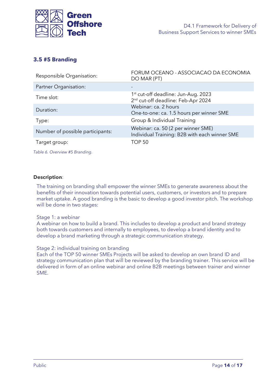

## <span id="page-13-0"></span>**3.5 #5 Branding**

| Responsible Organisation:        | FORUM OCEANO - ASSOCIACAO DA ECONOMIA<br>DO MAR (PT)                                              |
|----------------------------------|---------------------------------------------------------------------------------------------------|
| Partner Organisation:            |                                                                                                   |
| Time slot:                       | 1 <sup>st</sup> cut-off deadline: Jun-Aug. 2023<br>2 <sup>nd</sup> cut-off deadline: Feb-Apr 2024 |
| Duration:                        | Webinar: ca. 2 hours<br>One-to-one: ca. 1.5 hours per winner SME                                  |
| Type:                            | Group & Individual Training                                                                       |
| Number of possible participants: | Webinar: ca. 50 (2 per winner SME)<br>Individual Training: B2B with each winner SME               |
| Target group:                    | <b>TOP 50</b>                                                                                     |

<span id="page-13-1"></span>*Table 6. Overview #5 Branding.*

#### **Description**:

The training on branding shall empower the winner SMEs to generate awareness about the benefits of their innovation towards potential users, customers, or investors and to prepare market uptake. A good branding is the basic to develop a good investor pitch. The workshop will be done in two stages:

#### Stage 1: a webinar

A webinar on how to build a brand. This includes to develop a product and brand strategy both towards customers and internally to employees, to develop a brand identity and to develop a brand marketing through a strategic communication strategy.

#### Stage 2: individual training on branding

Each of the TOP 50 winner SMEs Projects will be asked to develop an own brand ID and strategy communication plan that will be reviewed by the branding trainer. This service will be delivered in form of an online webinar and online B2B meetings between trainer and winner SME.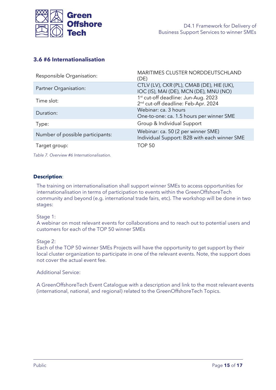

## <span id="page-14-0"></span>**3.6 #6 Internationalisation**

| Responsible Organisation:        | MARITIMES CLUSTER NORDDEUTSCHLAND<br>(DE)                                                          |
|----------------------------------|----------------------------------------------------------------------------------------------------|
| Partner Organisation:            | CTLV (LV), CKR (PL), CMAB (DE), HIE (UK),<br>IOC (IS), MAI (DE), MCN (DE), MNU (NO)                |
| Time slot:                       | 1 <sup>st</sup> cut-off deadline: Jun-Aug. 2023<br>2 <sup>nd</sup> cut-off deadline: Feb-Apr. 2024 |
| Duration:                        | Webinar: ca. 3 hours<br>One-to-one: ca. 1.5 hours per winner SME                                   |
| Type:                            | Group & Individual Support                                                                         |
| Number of possible participants: | Webinar: ca. 50 (2 per winner SME)<br>Individual Support: B2B with each winner SME                 |
| Target group:                    | <b>TOP 50</b>                                                                                      |

<span id="page-14-1"></span>*Table 7. Overview #6 Internationalisation.*

#### **Description**:

The training on internationalisation shall support winner SMEs to access opportunities for internationalisation in terms of participation to events within the GreenOffshoreTech community and beyond (e.g. international trade fairs, etc). The workshop will be done in two stages:

#### Stage 1:

A webinar on most relevant events for collaborations and to reach out to potential users and customers for each of the TOP 50 winner SMEs

#### Stage 2:

Each of the TOP 50 winner SMEs Projects will have the opportunity to get support by their local cluster organization to participate in one of the relevant events. Note, the support does not cover the actual event fee.

#### Additional Service:

A GreenOffshoreTech Event Catalogue with a description and link to the most relevant events (international, national, and regional) related to the GreenOffshoreTech Topics.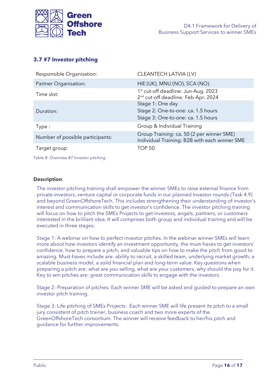

## <span id="page-15-0"></span>**3.7 #7 Investor pitching**

| Responsible Organisation:        | CLEANTECH LATVIA (LV)                                                                              |
|----------------------------------|----------------------------------------------------------------------------------------------------|
| Partner Organisation:            | HIE (UK), MNU (NO), SCA (NO).                                                                      |
| Time slot:                       | 1 <sup>st</sup> cut-off deadline: Jun-Aug. 2023<br>2 <sup>nd</sup> cut-off deadline: Feb-Apr. 2024 |
| Duration:                        | Stage 1: One day<br>Stage 2: One-to-one: ca. 1.5 hours<br>Stage 3: One-to-one: ca. 1.5 hours       |
| Type:                            | Group & Individual Training                                                                        |
| Number of possible participants: | Group Training: ca. 50 (2 per winner SME)<br>Individual Training: B2B with each winner SME         |
| Target group:                    | <b>TOP 50</b>                                                                                      |

<span id="page-15-1"></span>*Table 8. Overview #7 Investor pitching.*

#### **Description**:

The investor pitching training shall empower the winner SMEs to raise external finance from private investors, venture capital or corporate funds in our planned Investor rounds (Task 4.9) and beyond GreenOffshoreTech. This includes strengthening their understanding of investor's interest and communication skills to get investor's confidence. The investor pitching training will focus on how to pitch the SMEs Projects to get investors, angels, partners, or customers interested in the brilliant idea. It will comprises both group and individual training and will be executed in three stages:

Stage 1: A webinar on how to perfect investor pitches. In the webinar winner SMEs will learn more about how investors identify an investment opportunity, the must-haves to get investors' confidence, how to prepare a pitch, and valuable tips on how to make the pitch from good to amazing. Must-haves include are: ability to recruit, a skilled team, underlying market growth, a scalable business model, a solid financial plan and long-term value. Key questions when preparing a pitch are: what are you selling, what are your customers, why should the pay for it. Key to win pitches are: great communication skills to engage with the investors

Stage 2: Preparation of pitches: Each winner SME will be asked and guided to prepare an own investor pitch training.

Stage 3: Life pitching of SMEs Projects: Each winner SME will life present its pitch to a small jury consistent of pitch trainer, business coach and two more experts of the GreenOffshoreTech consortium. The winner will receive feedback to her/his pitch and guidance for further improvements.